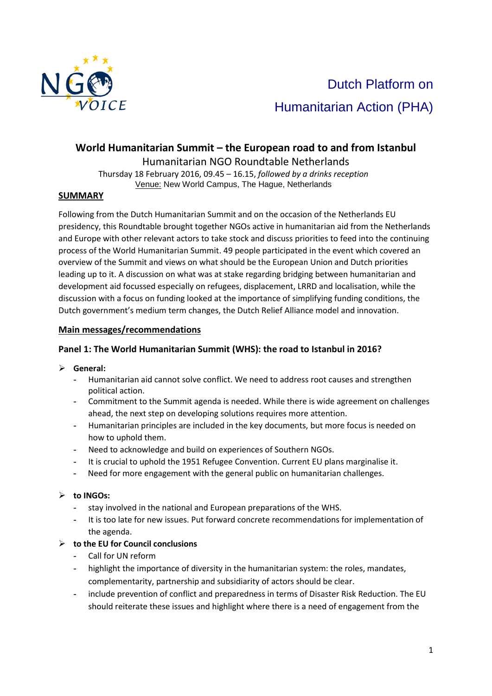

# **World Humanitarian Summit – the European road to and from Istanbul**  Humanitarian NGO Roundtable Netherlands

Thursday 18 February 2016, 09.45 – 16.15, *followed by a drinks reception* Venue: New World Campus, The Hague, Netherlands

## **SUMMARY**

Following from the Dutch Humanitarian Summit and on the occasion of the Netherlands EU presidency, this Roundtable brought together NGOs active in humanitarian aid from the Netherlands and Europe with other relevant actors to take stock and discuss priorities to feed into the continuing process of the World Humanitarian Summit. 49 people participated in the event which covered an overview of the Summit and views on what should be the European Union and Dutch priorities leading up to it. A discussion on what was at stake regarding bridging between humanitarian and development aid focussed especially on refugees, displacement, LRRD and localisation, while the discussion with a focus on funding looked at the importance of simplifying funding conditions, the Dutch government's medium term changes, the Dutch Relief Alliance model and innovation.

### **Main messages/recommendations**

## **Panel 1: The World Humanitarian Summit (WHS): the road to Istanbul in 2016?**

- **General:** 
	- **-** Humanitarian aid cannot solve conflict. We need to address root causes and strengthen political action.
	- **-** Commitment to the Summit agenda is needed. While there is wide agreement on challenges ahead, the next step on developing solutions requires more attention.
	- **-** Humanitarian principles are included in the key documents, but more focus is needed on how to uphold them.
	- **-** Need to acknowledge and build on experiences of Southern NGOs.
	- **-** It is crucial to uphold the 1951 Refugee Convention. Current EU plans marginalise it.
	- **-** Need for more engagement with the general public on humanitarian challenges.

#### **to INGOs:**

- **-** stay involved in the national and European preparations of the WHS.
- **-** It is too late for new issues. Put forward concrete recommendations for implementation of the agenda.

### **to the EU for Council conclusions**

- **-** Call for UN reform
- **-** highlight the importance of diversity in the humanitarian system: the roles, mandates, complementarity, partnership and subsidiarity of actors should be clear.
- **-** include prevention of conflict and preparedness in terms of Disaster Risk Reduction. The EU should reiterate these issues and highlight where there is a need of engagement from the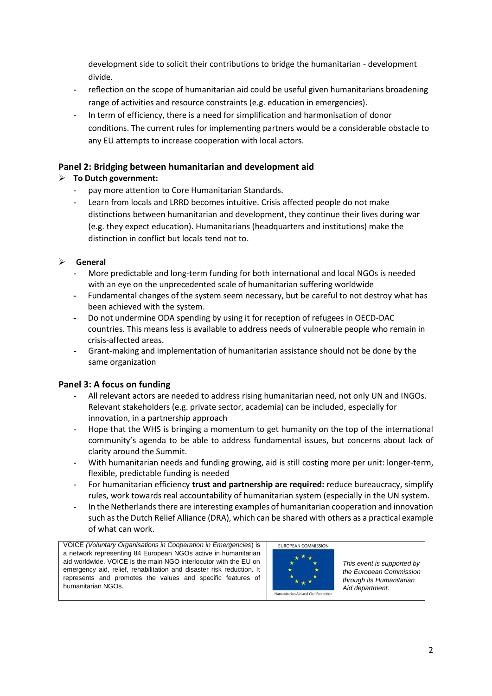development side to solicit their contributions to bridge the humanitarian - development divide.

- **-** reflection on the scope of humanitarian aid could be useful given humanitarians broadening range of activities and resource constraints (e.g. education in emergencies).
- **-** In term of efficiency, there is a need for simplification and harmonisation of donor conditions. The current rules for implementing partners would be a considerable obstacle to any EU attempts to increase cooperation with local actors.

# **Panel 2: Bridging between humanitarian and development aid**

# **To Dutch government:**

- **-** pay more attention to Core Humanitarian Standards.
- **-** Learn from locals and LRRD becomes intuitive. Crisis affected people do not make distinctions between humanitarian and development, they continue their lives during war (e.g. they expect education). Humanitarians (headquarters and institutions) make the distinction in conflict but locals tend not to.

# **General**

- **-** More predictable and long-term funding for both international and local NGOs is needed with an eye on the unprecedented scale of humanitarian suffering worldwide
- **-** Fundamental changes of the system seem necessary, but be careful to not destroy what has been achieved with the system.
- **-** Do not undermine ODA spending by using it for reception of refugees in OECD-DAC countries. This means less is available to address needs of vulnerable people who remain in crisis-affected areas.
- **-** Grant-making and implementation of humanitarian assistance should not be done by the same organization

# **Panel 3: A focus on funding**

- **-** All relevant actors are needed to address rising humanitarian need, not only UN and INGOs. Relevant stakeholders (e.g. private sector, academia) can be included, especially for innovation, in a partnership approach
- **-** Hope that the WHS is bringing a momentum to get humanity on the top of the international community's agenda to be able to address fundamental issues, but concerns about lack of clarity around the Summit.
- **-** With humanitarian needs and funding growing, aid is still costing more per unit: longer-term, flexible, predictable funding is needed
- **-** For humanitarian efficiency **trust and partnership are required:** reduce bureaucracy, simplify rules, work towards real accountability of humanitarian system (especially in the UN system.
- **-** In the Netherlands there are interesting examples of humanitarian cooperation and innovation such as the Dutch Relief Alliance (DRA), which can be shared with others as a practical example of what can work.

VOICE *(Voluntary Organisations in Cooperation in Emergencies*) is a network representing 84 European NGOs active in humanitarian aid worldwide. VOICE is the main NGO interlocutor with the EU on emergency aid, relief, rehabilitation and disaster risk reduction. It represents and promotes the values and specific features of humanitarian NGOs.



*This event is supported by the European Commission through its Humanitarian Aid department.*

 $\overline{\phantom{a}}$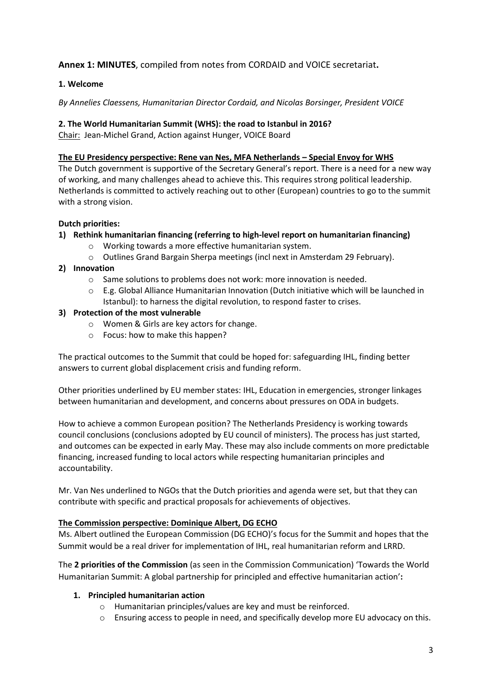# **Annex 1: MINUTES**, compiled from notes from CORDAID and VOICE secretariat**.**

### **1. Welcome**

### *By Annelies Claessens, Humanitarian Director Cordaid, and Nicolas Borsinger, President VOICE*

### **2. The World Humanitarian Summit (WHS): the road to Istanbul in 2016?**

Chair: Jean-Michel Grand, Action against Hunger, VOICE Board

### **The EU Presidency perspective: Rene van Nes, MFA Netherlands – Special Envoy for WHS**

The Dutch government is supportive of the Secretary General's report. There is a need for a new way of working, and many challenges ahead to achieve this. This requires strong political leadership. Netherlands is committed to actively reaching out to other (European) countries to go to the summit with a strong vision.

### **Dutch priorities:**

- **1) Rethink humanitarian financing (referring to high-level report on humanitarian financing)**
	- o Working towards a more effective humanitarian system.
	- o Outlines Grand Bargain Sherpa meetings (incl next in Amsterdam 29 February).
- **2) Innovation** 
	- o Same solutions to problems does not work: more innovation is needed.
	- o E.g. Global Alliance Humanitarian Innovation (Dutch initiative which will be launched in Istanbul): to harness the digital revolution, to respond faster to crises.
- **3) Protection of the most vulnerable**
	- o Women & Girls are key actors for change.
	- o Focus: how to make this happen?

The practical outcomes to the Summit that could be hoped for: safeguarding IHL, finding better answers to current global displacement crisis and funding reform.

Other priorities underlined by EU member states: IHL, Education in emergencies, stronger linkages between humanitarian and development, and concerns about pressures on ODA in budgets.

How to achieve a common European position? The Netherlands Presidency is working towards council conclusions (conclusions adopted by EU council of ministers). The process has just started, and outcomes can be expected in early May. These may also include comments on more predictable financing, increased funding to local actors while respecting humanitarian principles and accountability.

Mr. Van Nes underlined to NGOs that the Dutch priorities and agenda were set, but that they can contribute with specific and practical proposals for achievements of objectives.

### **The Commission perspective: Dominique Albert, DG ECHO**

Ms. Albert outlined the European Commission (DG ECHO)'s focus for the Summit and hopes that the Summit would be a real driver for implementation of IHL, real humanitarian reform and LRRD.

The **2 priorities of the Commission** (as seen in the Commission Communication) 'Towards the World Humanitarian Summit: A global partnership for principled and effective humanitarian action'**:**

### **1. Principled humanitarian action**

- o Humanitarian principles/values are key and must be reinforced.
- $\circ$  Ensuring access to people in need, and specifically develop more EU advocacy on this.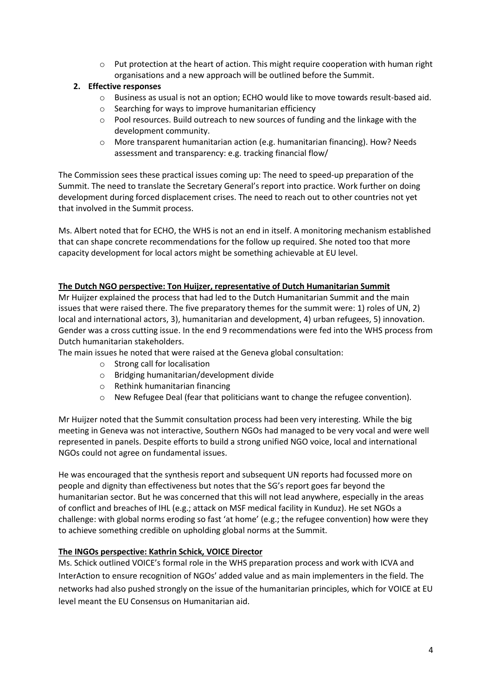$\circ$  Put protection at the heart of action. This might require cooperation with human right organisations and a new approach will be outlined before the Summit.

## **2. Effective responses**

- $\circ$  Business as usual is not an option; ECHO would like to move towards result-based aid.
- o Searching for ways to improve humanitarian efficiency
- $\circ$  Pool resources. Build outreach to new sources of funding and the linkage with the development community.
- o More transparent humanitarian action (e.g. humanitarian financing). How? Needs assessment and transparency: e.g. tracking financial flow/

The Commission sees these practical issues coming up: The need to speed-up preparation of the Summit. The need to translate the Secretary General's report into practice. Work further on doing development during forced displacement crises. The need to reach out to other countries not yet that involved in the Summit process.

Ms. Albert noted that for ECHO, the WHS is not an end in itself. A monitoring mechanism established that can shape concrete recommendations for the follow up required. She noted too that more capacity development for local actors might be something achievable at EU level.

### **The Dutch NGO perspective: Ton Huijzer, representative of Dutch Humanitarian Summit**

Mr Huijzer explained the process that had led to the Dutch Humanitarian Summit and the main issues that were raised there. The five preparatory themes for the summit were: 1) roles of UN, 2) local and international actors, 3), humanitarian and development, 4) urban refugees, 5) innovation. Gender was a cross cutting issue. In the end 9 recommendations were fed into the WHS process from Dutch humanitarian stakeholders.

The main issues he noted that were raised at the Geneva global consultation:

- o Strong call for localisation
- o Bridging humanitarian/development divide
- o Rethink humanitarian financing
- o New Refugee Deal (fear that politicians want to change the refugee convention).

Mr Huijzer noted that the Summit consultation process had been very interesting. While the big meeting in Geneva was not interactive, Southern NGOs had managed to be very vocal and were well represented in panels. Despite efforts to build a strong unified NGO voice, local and international NGOs could not agree on fundamental issues.

He was encouraged that the synthesis report and subsequent UN reports had focussed more on people and dignity than effectiveness but notes that the SG's report goes far beyond the humanitarian sector. But he was concerned that this will not lead anywhere, especially in the areas of conflict and breaches of IHL (e.g.; attack on MSF medical facility in Kunduz). He set NGOs a challenge: with global norms eroding so fast 'at home' (e.g.; the refugee convention) how were they to achieve something credible on upholding global norms at the Summit.

#### **The INGOs perspective: Kathrin Schick, VOICE Director**

Ms. Schick outlined VOICE's formal role in the WHS preparation process and work with ICVA and InterAction to ensure recognition of NGOs' added value and as main implementers in the field. The networks had also pushed strongly on the issue of the humanitarian principles, which for VOICE at EU level meant the EU Consensus on Humanitarian aid.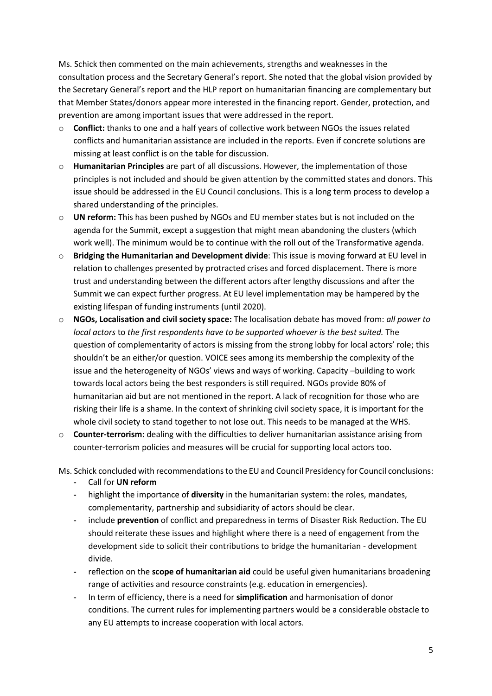Ms. Schick then commented on the main achievements, strengths and weaknesses in the consultation process and the Secretary General's report. She noted that the global vision provided by the Secretary General's report and the HLP report on humanitarian financing are complementary but that Member States/donors appear more interested in the financing report. Gender, protection, and prevention are among important issues that were addressed in the report.

- o **Conflict:** thanks to one and a half years of collective work between NGOs the issues related conflicts and humanitarian assistance are included in the reports. Even if concrete solutions are missing at least conflict is on the table for discussion.
- o **Humanitarian Principles** are part of all discussions. However, the implementation of those principles is not included and should be given attention by the committed states and donors. This issue should be addressed in the EU Council conclusions. This is a long term process to develop a shared understanding of the principles.
- o **UN reform:** This has been pushed by NGOs and EU member states but is not included on the agenda for the Summit, except a suggestion that might mean abandoning the clusters (which work well). The minimum would be to continue with the roll out of the Transformative agenda.
- o **Bridging the Humanitarian and Development divide**: This issue is moving forward at EU level in relation to challenges presented by protracted crises and forced displacement. There is more trust and understanding between the different actors after lengthy discussions and after the Summit we can expect further progress. At EU level implementation may be hampered by the existing lifespan of funding instruments (until 2020).
- o **NGOs, Localisation and civil society space:** The localisation debate has moved from: *all power to local actors* to *the first respondents have to be supported whoever is the best suited.* The question of complementarity of actors is missing from the strong lobby for local actors' role; this shouldn't be an either/or question. VOICE sees among its membership the complexity of the issue and the heterogeneity of NGOs' views and ways of working. Capacity –building to work towards local actors being the best responders is still required. NGOs provide 80% of humanitarian aid but are not mentioned in the report. A lack of recognition for those who are risking their life is a shame. In the context of shrinking civil society space, it is important for the whole civil society to stand together to not lose out. This needs to be managed at the WHS.
- o **Counter-terrorism:** dealing with the difficulties to deliver humanitarian assistance arising from counter-terrorism policies and measures will be crucial for supporting local actors too.

Ms. Schick concluded with recommendations to the EU and Council Presidency for Council conclusions:

- **-** Call for **UN reform**
- **-** highlight the importance of **diversity** in the humanitarian system: the roles, mandates, complementarity, partnership and subsidiarity of actors should be clear.
- **-** include **prevention** of conflict and preparedness in terms of Disaster Risk Reduction. The EU should reiterate these issues and highlight where there is a need of engagement from the development side to solicit their contributions to bridge the humanitarian - development divide.
- **-** reflection on the **scope of humanitarian aid** could be useful given humanitarians broadening range of activities and resource constraints (e.g. education in emergencies).
- **-** In term of efficiency, there is a need for **simplification** and harmonisation of donor conditions. The current rules for implementing partners would be a considerable obstacle to any EU attempts to increase cooperation with local actors.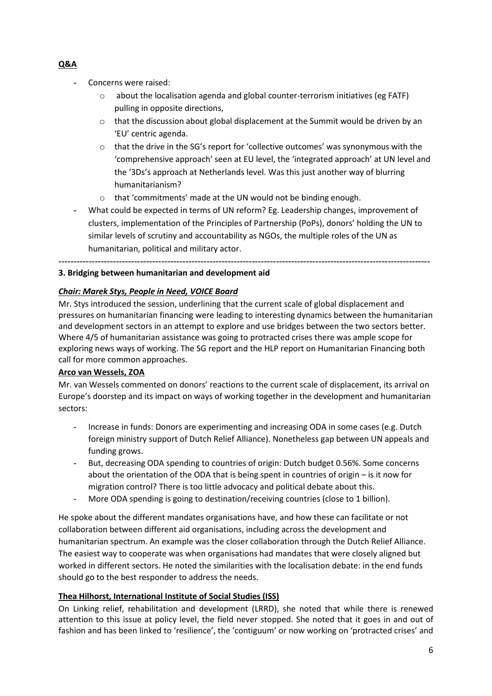- **-** Concerns were raised:
	- o about the localisation agenda and global counter-terrorism initiatives (eg FATF) pulling in opposite directions,
	- $\circ$  that the discussion about global displacement at the Summit would be driven by an 'EU' centric agenda.
	- o that the drive in the SG's report for 'collective outcomes' was synonymous with the 'comprehensive approach' seen at EU level, the 'integrated approach' at UN level and the '3Ds's approach at Netherlands level. Was this just another way of blurring humanitarianism?
	- o that 'commitments' made at the UN would not be binding enough.
- **-** What could be expected in terms of UN reform? Eg. Leadership changes, improvement of clusters, implementation of the Principles of Partnership (PoPs), donors' holding the UN to similar levels of scrutiny and accountability as NGOs, the multiple roles of the UN as humanitarian, political and military actor.

**---------------------------------------------------------------------------------------------------------------------------**

### **3. Bridging between humanitarian and development aid**

## *Chair: Marek Stys, People in Need, VOICE Board*

Mr. Stys introduced the session, underlining that the current scale of global displacement and pressures on humanitarian financing were leading to interesting dynamics between the humanitarian and development sectors in an attempt to explore and use bridges between the two sectors better. Where 4/5 of humanitarian assistance was going to protracted crises there was ample scope for exploring news ways of working. The SG report and the HLP report on Humanitarian Financing both call for more common approaches.

### **Arco van Wessels, ZOA**

Mr. van Wessels commented on donors' reactions to the current scale of displacement, its arrival on Europe's doorstep and its impact on ways of working together in the development and humanitarian sectors:

- Increase in funds: Donors are experimenting and increasing ODA in some cases (e.g. Dutch foreign ministry support of Dutch Relief Alliance). Nonetheless gap between UN appeals and funding grows.
- But, decreasing ODA spending to countries of origin: Dutch budget 0.56%. Some concerns about the orientation of the ODA that is being spent in countries of origin – is it now for migration control? There is too little advocacy and political debate about this.
- More ODA spending is going to destination/receiving countries (close to 1 billion).

He spoke about the different mandates organisations have, and how these can facilitate or not collaboration between different aid organisations, including across the development and humanitarian spectrum. An example was the closer collaboration through the Dutch Relief Alliance. The easiest way to cooperate was when organisations had mandates that were closely aligned but worked in different sectors. He noted the similarities with the localisation debate: in the end funds should go to the best responder to address the needs.

### **Thea Hilhorst, International Institute of Social Studies (ISS)**

On Linking relief, rehabilitation and development (LRRD), she noted that while there is renewed attention to this issue at policy level, the field never stopped. She noted that it goes in and out of fashion and has been linked to 'resilience', the 'contiguum' or now working on 'protracted crises' and

### **Q&A**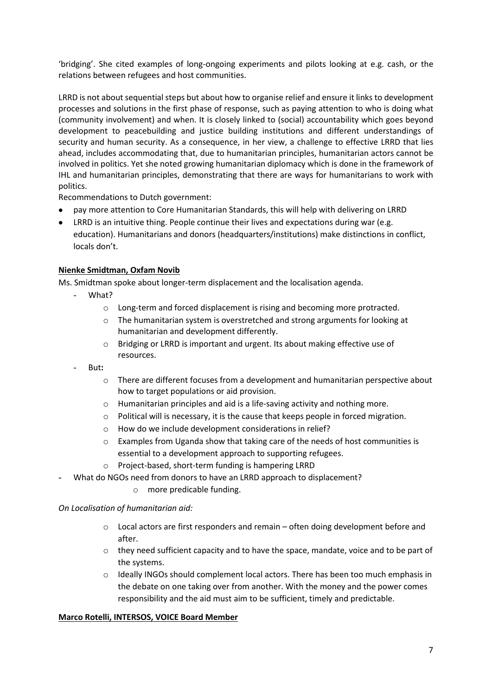'bridging'. She cited examples of long-ongoing experiments and pilots looking at e.g. cash, or the relations between refugees and host communities.

LRRD is not about sequential steps but about how to organise relief and ensure it links to development processes and solutions in the first phase of response, such as paying attention to who is doing what (community involvement) and when. It is closely linked to (social) accountability which goes beyond development to peacebuilding and justice building institutions and different understandings of security and human security. As a consequence, in her view, a challenge to effective LRRD that lies ahead, includes accommodating that, due to humanitarian principles, humanitarian actors cannot be involved in politics. Yet she noted growing humanitarian diplomacy which is done in the framework of IHL and humanitarian principles, demonstrating that there are ways for humanitarians to work with politics.

Recommendations to Dutch government:

- pay more attention to Core Humanitarian Standards, this will help with delivering on LRRD
- LRRD is an intuitive thing. People continue their lives and expectations during war (e.g. education). Humanitarians and donors (headquarters/institutions) make distinctions in conflict, locals don't.

## **Nienke Smidtman, Oxfam Novib**

Ms. Smidtman spoke about longer-term displacement and the localisation agenda.

- What?
	- o Long-term and forced displacement is rising and becoming more protracted.
	- o The humanitarian system is overstretched and strong arguments for looking at humanitarian and development differently.
	- o Bridging or LRRD is important and urgent. Its about making effective use of resources.
- But**:**
	- $\circ$  There are different focuses from a development and humanitarian perspective about how to target populations or aid provision.
	- o Humanitarian principles and aid is a life-saving activity and nothing more.
	- o Political will is necessary, it is the cause that keeps people in forced migration.
	- o How do we include development considerations in relief?
	- $\circ$  Examples from Uganda show that taking care of the needs of host communities is essential to a development approach to supporting refugees.
	- o Project-based, short-term funding is hampering LRRD
- **-** What do NGOs need from donors to have an LRRD approach to displacement?
	- o more predicable funding.

*On Localisation of humanitarian aid:*

- $\circ$  Local actors are first responders and remain often doing development before and after.
- $\circ$  they need sufficient capacity and to have the space, mandate, voice and to be part of the systems.
- $\circ$  Ideally INGOs should complement local actors. There has been too much emphasis in the debate on one taking over from another. With the money and the power comes responsibility and the aid must aim to be sufficient, timely and predictable.

### **Marco Rotelli, INTERSOS, VOICE Board Member**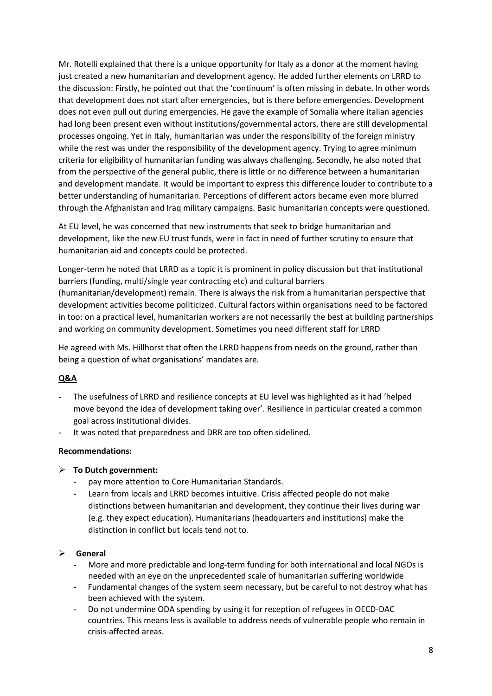Mr. Rotelli explained that there is a unique opportunity for Italy as a donor at the moment having just created a new humanitarian and development agency. He added further elements on LRRD to the discussion: Firstly, he pointed out that the 'continuum' is often missing in debate. In other words that development does not start after emergencies, but is there before emergencies. Development does not even pull out during emergencies. He gave the example of Somalia where italian agencies had long been present even without institutions/governmental actors, there are still developmental processes ongoing. Yet in Italy, humanitarian was under the responsibility of the foreign ministry while the rest was under the responsibility of the development agency. Trying to agree minimum criteria for eligibility of humanitarian funding was always challenging. Secondly, he also noted that from the perspective of the general public, there is little or no difference between a humanitarian and development mandate. It would be important to express this difference louder to contribute to a better understanding of humanitarian. Perceptions of different actors became even more blurred through the Afghanistan and Iraq military campaigns. Basic humanitarian concepts were questioned.

At EU level, he was concerned that new instruments that seek to bridge humanitarian and development, like the new EU trust funds, were in fact in need of further scrutiny to ensure that humanitarian aid and concepts could be protected.

Longer-term he noted that LRRD as a topic it is prominent in policy discussion but that institutional barriers (funding, multi/single year contracting etc) and cultural barriers (humanitarian/development) remain. There is always the risk from a humanitarian perspective that development activities become politicized. Cultural factors within organisations need to be factored in too: on a practical level, humanitarian workers are not necessarily the best at building partnerships and working on community development. Sometimes you need different staff for LRRD

He agreed with Ms. Hillhorst that often the LRRD happens from needs on the ground, rather than being a question of what organisations' mandates are.

### **Q&A**

- **-** The usefulness of LRRD and resilience concepts at EU level was highlighted as it had 'helped move beyond the idea of development taking over'. Resilience in particular created a common goal across institutional divides.
- **-** It was noted that preparedness and DRR are too often sidelined.

#### **Recommendations:**

- **To Dutch government:** 
	- **-** pay more attention to Core Humanitarian Standards.
	- **-** Learn from locals and LRRD becomes intuitive. Crisis affected people do not make distinctions between humanitarian and development, they continue their lives during war (e.g. they expect education). Humanitarians (headquarters and institutions) make the distinction in conflict but locals tend not to.

#### **General**

- **-** More and more predictable and long-term funding for both international and local NGOs is needed with an eye on the unprecedented scale of humanitarian suffering worldwide
- **-** Fundamental changes of the system seem necessary, but be careful to not destroy what has been achieved with the system.
- **-** Do not undermine ODA spending by using it for reception of refugees in OECD-DAC countries. This means less is available to address needs of vulnerable people who remain in crisis-affected areas.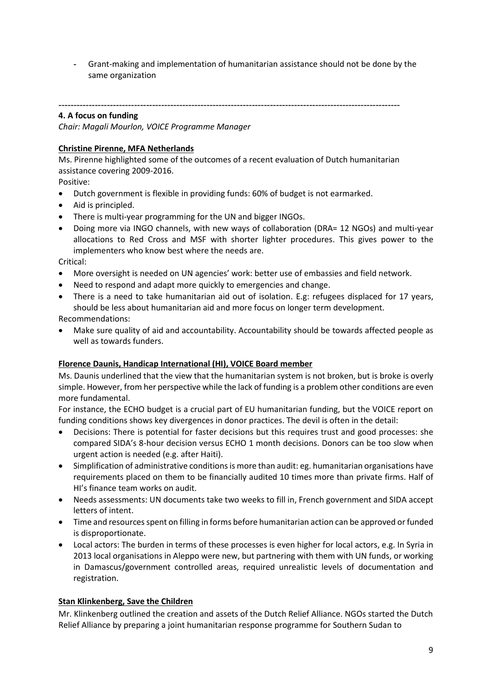**-** Grant-making and implementation of humanitarian assistance should not be done by the same organization

**-----------------------------------------------------------------------------------------------------------------**

### **4. A focus on funding**

*Chair: Magali Mourlon, VOICE Programme Manager* 

### **Christine Pirenne, MFA Netherlands**

Ms. Pirenne highlighted some of the outcomes of a recent evaluation of Dutch humanitarian assistance covering 2009-2016.

Positive:

- Dutch government is flexible in providing funds: 60% of budget is not earmarked.
- Aid is principled.
- There is multi-year programming for the UN and bigger INGOs.
- Doing more via INGO channels, with new ways of collaboration (DRA= 12 NGOs) and multi-year allocations to Red Cross and MSF with shorter lighter procedures. This gives power to the implementers who know best where the needs are.

Critical:

- More oversight is needed on UN agencies' work: better use of embassies and field network.
- Need to respond and adapt more quickly to emergencies and change.
- There is a need to take humanitarian aid out of isolation. E.g: refugees displaced for 17 years, should be less about humanitarian aid and more focus on longer term development.

Recommendations:

 Make sure quality of aid and accountability. Accountability should be towards affected people as well as towards funders.

### **Florence Daunis, Handicap International (HI), VOICE Board member**

Ms. Daunis underlined that the view that the humanitarian system is not broken, but is broke is overly simple. However, from her perspective while the lack of funding is a problem other conditions are even more fundamental.

For instance, the ECHO budget is a crucial part of EU humanitarian funding, but the VOICE report on funding conditions shows key divergences in donor practices. The devil is often in the detail:

- Decisions: There is potential for faster decisions but this requires trust and good processes: she compared SIDA's 8-hour decision versus ECHO 1 month decisions. Donors can be too slow when urgent action is needed (e.g. after Haiti).
- Simplification of administrative conditions is more than audit: eg. humanitarian organisations have requirements placed on them to be financially audited 10 times more than private firms. Half of HI's finance team works on audit.
- Needs assessments: UN documents take two weeks to fill in, French government and SIDA accept letters of intent.
- Time and resources spent on filling in forms before humanitarian action can be approved or funded is disproportionate.
- Local actors: The burden in terms of these processes is even higher for local actors, e.g. In Syria in 2013 local organisations in Aleppo were new, but partnering with them with UN funds, or working in Damascus/government controlled areas, required unrealistic levels of documentation and registration.

### **Stan Klinkenberg, Save the Children**

Mr. Klinkenberg outlined the creation and assets of the Dutch Relief Alliance. NGOs started the Dutch Relief Alliance by preparing a joint humanitarian response programme for Southern Sudan to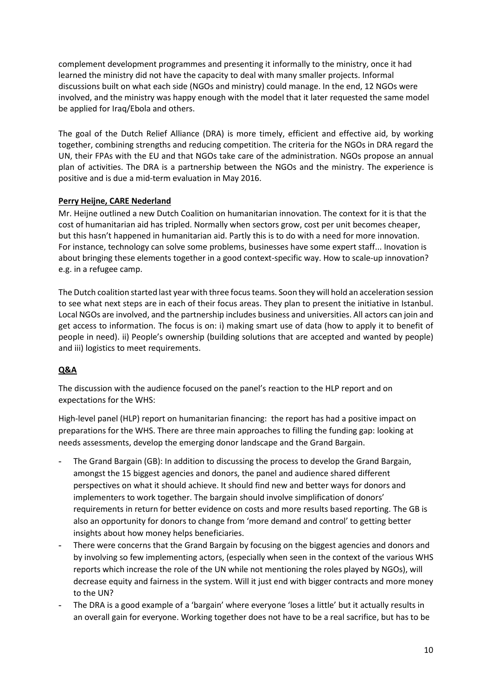complement development programmes and presenting it informally to the ministry, once it had learned the ministry did not have the capacity to deal with many smaller projects. Informal discussions built on what each side (NGOs and ministry) could manage. In the end, 12 NGOs were involved, and the ministry was happy enough with the model that it later requested the same model be applied for Iraq/Ebola and others.

The goal of the Dutch Relief Alliance (DRA) is more timely, efficient and effective aid, by working together, combining strengths and reducing competition. The criteria for the NGOs in DRA regard the UN, their FPAs with the EU and that NGOs take care of the administration. NGOs propose an annual plan of activities. The DRA is a partnership between the NGOs and the ministry. The experience is positive and is due a mid-term evaluation in May 2016.

## **Perry Heijne, CARE Nederland**

Mr. Heijne outlined a new Dutch Coalition on humanitarian innovation. The context for it is that the cost of humanitarian aid has tripled. Normally when sectors grow, cost per unit becomes cheaper, but this hasn't happened in humanitarian aid. Partly this is to do with a need for more innovation. For instance, technology can solve some problems, businesses have some expert staff... Inovation is about bringing these elements together in a good context-specific way. How to scale-up innovation? e.g. in a refugee camp.

The Dutch coalition started last year with three focus teams. Soon they will hold an acceleration session to see what next steps are in each of their focus areas. They plan to present the initiative in Istanbul. Local NGOs are involved, and the partnership includes business and universities. All actors can join and get access to information. The focus is on: i) making smart use of data (how to apply it to benefit of people in need). ii) People's ownership (building solutions that are accepted and wanted by people) and iii) logistics to meet requirements.

### **Q&A**

The discussion with the audience focused on the panel's reaction to the HLP report and on expectations for the WHS:

High-level panel (HLP) report on humanitarian financing: the report has had a positive impact on preparations for the WHS. There are three main approaches to filling the funding gap: looking at needs assessments, develop the emerging donor landscape and the Grand Bargain.

- **-** The Grand Bargain (GB): In addition to discussing the process to develop the Grand Bargain, amongst the 15 biggest agencies and donors, the panel and audience shared different perspectives on what it should achieve. It should find new and better ways for donors and implementers to work together. The bargain should involve simplification of donors' requirements in return for better evidence on costs and more results based reporting. The GB is also an opportunity for donors to change from 'more demand and control' to getting better insights about how money helps beneficiaries.
- **-** There were concerns that the Grand Bargain by focusing on the biggest agencies and donors and by involving so few implementing actors, (especially when seen in the context of the various WHS reports which increase the role of the UN while not mentioning the roles played by NGOs), will decrease equity and fairness in the system. Will it just end with bigger contracts and more money to the UN?
- **-** The DRA is a good example of a 'bargain' where everyone 'loses a little' but it actually results in an overall gain for everyone. Working together does not have to be a real sacrifice, but has to be